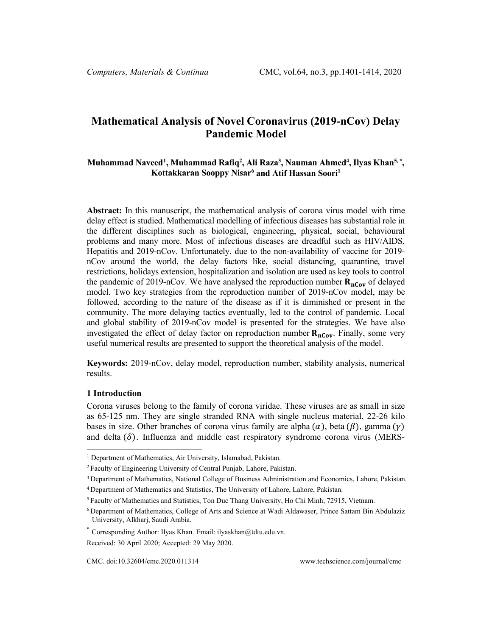# **Mathematical Analysis of Novel Coronavirus (2019-nCov) Delay Pandemic Model**

# **Muhammad Navee[d1](#page-0-0) , Muhammad Rafiq2 , Ali Raza3 , Nauman Ahmed4 , Ilyas Khan5, \*, Kottakkaran Sooppy Nisar6 and Atif Hassan Soori1**

**Abstract:** In this manuscript, the mathematical analysis of corona virus model with time delay effect is studied. Mathematical modelling of infectious diseases has substantial role in the different disciplines such as biological, engineering, physical, social, behavioural problems and many more. Most of infectious diseases are dreadful such as HIV/AIDS, Hepatitis and 2019-nCov. Unfortunately, due to the non-availability of vaccine for 2019 nCov around the world, the delay factors like, social distancing, quarantine, travel restrictions, holidays extension, hospitalization and isolation are used as key tools to control the pandemic of 2019-nCov. We have analysed the reproduction number  $\mathbf{R}_{nCov}$  of delayed model. Two key strategies from the reproduction number of 2019-nCov model, may be followed, according to the nature of the disease as if it is diminished or present in the community. The more delaying tactics eventually, led to the control of pandemic. Local and global stability of 2019-nCov model is presented for the strategies. We have also investigated the effect of delay factor on reproduction number  $R_{nCov}$ . Finally, some very useful numerical results are presented to support the theoretical analysis of the model.

**Keywords:** 2019-nCov, delay model, reproduction number, stability analysis, numerical results.

#### **1 Introduction**

Corona viruses belong to the family of corona viridae. These viruses are as small in size as 65-125 nm. They are single stranded RNA with single nucleus material, 22-26 kilo bases in size. Other branches of corona virus family are alpha  $(\alpha)$ , beta  $(\beta)$ , gamma  $(\gamma)$ and delta  $(\delta)$ . Influenza and middle east respiratory syndrome corona virus (MERS-

<span id="page-0-0"></span><sup>&</sup>lt;sup>1</sup> Department of Mathematics, Air University, Islamabad, Pakistan.

<sup>2</sup> Faculty of Engineering University of Central Punjab, Lahore, Pakistan.

<sup>3</sup> Department of Mathematics, National College of Business Administration and Economics, Lahore, Pakistan.

<sup>4</sup> Department of Mathematics and Statistics, The University of Lahore, Lahore, Pakistan.

<sup>5</sup> Faculty of Mathematics and Statistics, Ton Duc Thang University, Ho Chi Minh, 72915, Vietnam.

<sup>6</sup> Department of Mathematics, College of Arts and Science at Wadi Aldawaser, Prince Sattam Bin Abdulaziz University, Alkharj, Saudi Arabia.

<sup>\*</sup> Corresponding Author: Ilyas Khan. Email: ilyaskhan@tdtu.edu.vn.

Received: 30 April 2020; Accepted: 29 May 2020.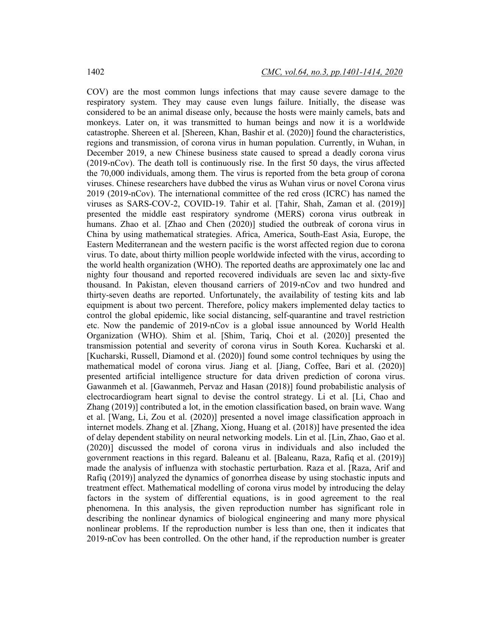COV) are the most common lungs infections that may cause severe damage to the respiratory system. They may cause even lungs failure. Initially, the disease was considered to be an animal disease only, because the hosts were mainly camels, bats and monkeys. Later on, it was transmitted to human beings and now it is a worldwide catastrophe. Shereen et al. [Shereen, Khan, Bashir et al. (2020)] found the characteristics, regions and transmission, of corona virus in human population. Currently, in Wuhan, in December 2019, a new Chinese business state caused to spread a deadly corona virus (2019-nCov). The death toll is continuously rise. In the first 50 days, the virus affected the 70,000 individuals, among them. The virus is reported from the beta group of corona viruses. Chinese researchers have dubbed the virus as Wuhan virus or novel Corona virus 2019 (2019-nCov). The international committee of the red cross (ICRC) has named the viruses as SARS-COV-2, COVID-19. Tahir et al. [Tahir, Shah, Zaman et al. (2019)] presented the middle east respiratory syndrome (MERS) corona virus outbreak in humans. Zhao et al. [Zhao and Chen (2020)] studied the outbreak of corona virus in China by using mathematical strategies. Africa, America, South-East Asia, Europe, the Eastern Mediterranean and the western pacific is the worst affected region due to corona virus. To date, about thirty million people worldwide infected with the virus, according to the world health organization (WHO). The reported deaths are approximately one lac and nighty four thousand and reported recovered individuals are seven lac and sixty-five thousand. In Pakistan, eleven thousand carriers of 2019-nCov and two hundred and thirty-seven deaths are reported. Unfortunately, the availability of testing kits and lab equipment is about two percent. Therefore, policy makers implemented delay tactics to control the global epidemic, like social distancing, self-quarantine and travel restriction etc. Now the pandemic of 2019-nCov is a global issue announced by World Health Organization (WHO). Shim et al. [Shim, Tariq, Choi et al. (2020)] presented the transmission potential and severity of corona virus in South Korea. Kucharski et al. [Kucharski, Russell, Diamond et al. (2020)] found some control techniques by using the mathematical model of corona virus. Jiang et al. [Jiang, Coffee, Bari et al. (2020)] presented artificial intelligence structure for data driven prediction of corona virus. Gawanmeh et al. [Gawanmeh, Pervaz and Hasan (2018)] found probabilistic analysis of electrocardiogram heart signal to devise the control strategy. Li et al. [Li, Chao and Zhang (2019)] contributed a lot, in the emotion classification based, on brain wave. Wang et al. [Wang, Li, Zou et al. (2020)] presented a novel image classification approach in internet models. Zhang et al. [Zhang, Xiong, Huang et al. (2018)] have presented the idea of delay dependent stability on neural networking models. Lin et al. [Lin, Zhao, Gao et al. (2020)] discussed the model of corona virus in individuals and also included the government reactions in this regard. Baleanu et al. [Baleanu, Raza, Rafiq et al. (2019)] made the analysis of influenza with stochastic perturbation. Raza et al. [Raza, Arif and Rafiq (2019)] analyzed the dynamics of gonorrhea disease by using stochastic inputs and treatment effect. Mathematical modelling of corona virus model by introducing the delay factors in the system of differential equations, is in good agreement to the real phenomena. In this analysis, the given reproduction number has significant role in describing the nonlinear dynamics of biological engineering and many more physical nonlinear problems. If the reproduction number is less than one, then it indicates that 2019-nCov has been controlled. On the other hand, if the reproduction number is greater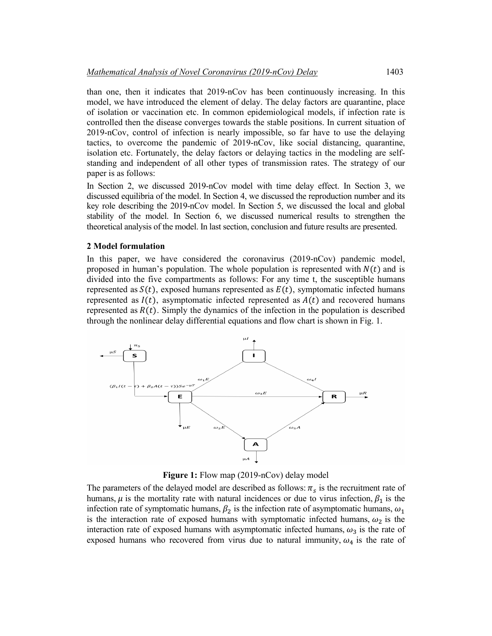than one, then it indicates that 2019-nCov has been continuously increasing. In this model, we have introduced the element of delay. The delay factors are quarantine, place of isolation or vaccination etc. In common epidemiological models, if infection rate is controlled then the disease converges towards the stable positions. In current situation of 2019-nCov, control of infection is nearly impossible, so far have to use the delaying tactics, to overcome the pandemic of 2019-nCov, like social distancing, quarantine, isolation etc. Fortunately, the delay factors or delaying tactics in the modeling are selfstanding and independent of all other types of transmission rates. The strategy of our paper is as follows:

In Section 2, we discussed 2019-nCov model with time delay effect. In Section 3, we discussed equilibria of the model. In Section 4, we discussed the reproduction number and its key role describing the 2019-nCov model. In Section 5, we discussed the local and global stability of the model. In Section 6, we discussed numerical results to strengthen the theoretical analysis of the model. In last section, conclusion and future results are presented.

# **2 Model formulation**

In this paper, we have considered the coronavirus (2019-nCov) pandemic model, proposed in human's population. The whole population is represented with  $N(t)$  and is divided into the five compartments as follows: For any time t, the susceptible humans represented as  $S(t)$ , exposed humans represented as  $E(t)$ , symptomatic infected humans represented as  $I(t)$ , asymptomatic infected represented as  $A(t)$  and recovered humans represented as  $R(t)$ . Simply the dynamics of the infection in the population is described through the nonlinear delay differential equations and flow chart is shown in Fig. 1.



**Figure 1:** Flow map (2019-nCov) delay model

The parameters of the delayed model are described as follows:  $\pi_s$  is the recruitment rate of humans,  $\mu$  is the mortality rate with natural incidences or due to virus infection,  $\beta_1$  is the infection rate of symptomatic humans,  $\beta_2$  is the infection rate of asymptomatic humans,  $\omega_1$ is the interaction rate of exposed humans with symptomatic infected humans,  $\omega_2$  is the interaction rate of exposed humans with asymptomatic infected humans,  $\omega_3$  is the rate of exposed humans who recovered from virus due to natural immunity,  $\omega_4$  is the rate of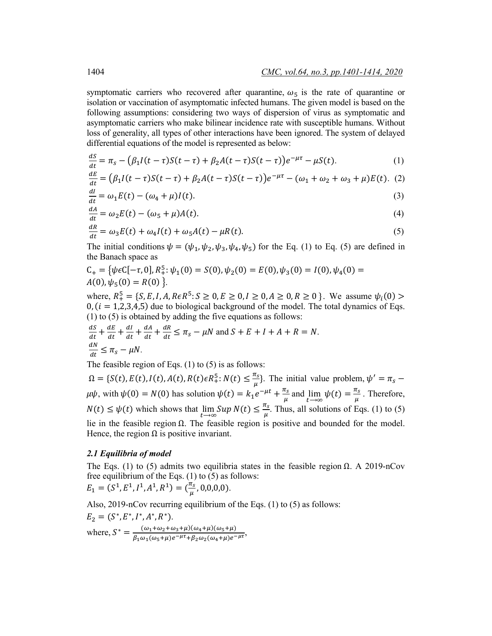symptomatic carriers who recovered after quarantine,  $\omega_5$  is the rate of quarantine or isolation or vaccination of asymptomatic infected humans. The given model is based on the following assumptions: considering two ways of dispersion of virus as symptomatic and asymptomatic carriers who make bilinear incidence rate with susceptible humans. Without loss of generality, all types of other interactions have been ignored. The system of delayed differential equations of the model is represented as below:

$$
\frac{dS}{dt} = \pi_S - (\beta_1 I(t - \tau)S(t - \tau) + \beta_2 A(t - \tau)S(t - \tau))e^{-\mu\tau} - \mu S(t).
$$
\n(1)

$$
\frac{dE}{dt} = (\beta_1 I(t - \tau)S(t - \tau) + \beta_2 A(t - \tau)S(t - \tau))e^{-\mu\tau} - (\omega_1 + \omega_2 + \omega_3 + \mu)E(t). \tag{2}
$$

$$
\frac{dl}{dt} = \omega_1 E(t) - (\omega_4 + \mu)I(t). \tag{3}
$$

$$
\frac{dA}{dt} = \omega_2 E(t) - (\omega_5 + \mu)A(t). \tag{4}
$$

$$
\frac{dR}{dt} = \omega_3 E(t) + \omega_4 I(t) + \omega_5 A(t) - \mu R(t).
$$
\n(5)

The initial conditions  $\psi = (\psi_1, \psi_2, \psi_3, \psi_4, \psi_5)$  for the Eq. (1) to Eq. (5) are defined in the Banach space as

$$
C_{+} = \{ \psi \in C[-\tau, 0], R_{+}^{5}: \psi_{1}(0) = S(0), \psi_{2}(0) = E(0), \psi_{3}(0) = I(0), \psi_{4}(0) = A(0), \psi_{5}(0) = R(0) \}.
$$

where,  $R_+^5 = \{S, E, I, A, R \in \mathbb{R}^5 : S \ge 0, E \ge 0, I \ge 0, A \ge 0, R \ge 0\}$ . We assume  $\psi_i(0)$  $0, (i = 1,2,3,4,5)$  due to biological background of the model. The total dynamics of Eqs. (1) to (5) is obtained by adding the five equations as follows:

$$
\frac{dS}{dt} + \frac{dE}{dt} + \frac{dI}{dt} + \frac{dA}{dt} + \frac{dR}{dt} \le \pi_s - \mu N \text{ and } S + E + I + A + R = N.
$$
  

$$
\frac{dN}{dt} \le \pi_s - \mu N.
$$

The feasible region of Eqs. (1) to (5) is as follows:

 $\Omega = \{S(t), E(t), I(t), A(t), R(t)\in R_+^5: N(t) \leq \frac{\pi_s}{\mu}\}.$  The initial value problem,  $\psi' = \pi_s \mu\psi$ , with  $\psi(0) = N(0)$  has solution  $\psi(t) = k_1 e^{-\mu t} + \frac{\pi_s}{\mu}$  and  $\lim_{t \to \infty} \psi(t) = \frac{\pi_s}{\mu}$ . Therefore,  $N(t) \le \psi(t)$  which shows that  $\lim_{t \to \infty} Sup N(t) \le \frac{\pi_s}{\mu}$ . Thus, all solutions of Eqs. (1) to (5) lie in the feasible region  $Ω$ . The feasible region is positive and bounded for the model. Hence, the region  $\Omega$  is positive invariant.

#### *2.1 Equilibria of model*

The Eqs. (1) to (5) admits two equilibria states in the feasible region  $\Omega$ . A 2019-nCov free equilibrium of the Eqs. (1) to (5) as follows:  $E_1 = (S^1, E^1, I^1, A^1, R^1) = (\frac{\pi_s}{\mu}, 0, 0, 0, 0).$ 

Also, 2019-nCov recurring equilibrium of the Eqs. (1) to (5) as follows:

$$
E_2 = (S^*, E^*, I^*, A^*, R^*).
$$
  
where,  $S^* = \frac{(\omega_1 + \omega_2 + \omega_3 + \mu)(\omega_4 + \mu)(\omega_5 + \mu)}{\beta_1 \omega_1 (\omega_5 + \mu) e^{-\mu \tau} + \beta_2 \omega_2 (\omega_4 + \mu) e^{-\mu \tau}},$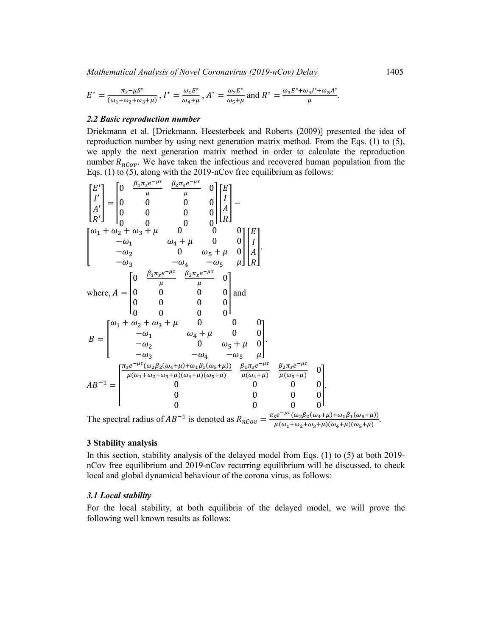$$
E^* = \frac{\pi_s - \mu s^*}{(\omega_1 + \omega_2 + \omega_3 + \mu)}, I^* = \frac{\omega_1 E^*}{\omega_4 + \mu}, A^* = \frac{\omega_2 E^*}{\omega_5 + \mu} \text{ and } R^* = \frac{\omega_3 E^* + \omega_4 I^* + \omega_5 A^*}{\mu}.
$$

#### *2.2 Basic reproduction number*

Driekmann et al. [Driekmann, Heesterbeek and Roberts (2009)] presented the idea of reproduction number by using next generation matrix method. From the Eqs. (1) to (5), we apply the next generation matrix method in order to calculate the reproduction number  $R_{n\text{Cov}}$ . We have taken the infectious and recovered human population from the Eqs. (1) to (5), along with the 2019-nCov free equilibrium as follows:

$$
\begin{bmatrix} E' \\ I' \\ A' \\ R' \end{bmatrix} = \begin{bmatrix} 0 & \frac{\beta_1 \pi_S e^{-\mu t}}{\mu} & \frac{\beta_2 \pi_S e^{-\mu t}}{\mu} & 0 \\ 0 & 0 & 0 & 0 \\ 0 & 0 & 0 & 0 \\ 0 & 0 & 0 & 0 \\ 0 & 0 & 0 & 0 \end{bmatrix} \begin{bmatrix} E \\ I \\ A \\ R \end{bmatrix} - \\ \begin{bmatrix} \omega_1 + \omega_2 + \omega_3 + \mu & 0 & 0 \\ -\omega_1 & \omega_4 + \mu & 0 & 0 \\ -\omega_2 & 0 & \omega_5 + \mu & 0 \\ -\omega_3 & -\omega_4 & -\omega_5 & \mu \end{bmatrix} \begin{bmatrix} E \\ I \\ A \\ R \end{bmatrix}.
$$
  
\nwhere,  $A = \begin{bmatrix} 0 & \frac{\beta_1 \pi_S e^{-\mu t}}{\mu} & \frac{\beta_2 \pi_S e^{-\mu t}}{\mu} & 0 \\ 0 & 0 & 0 & 0 \\ 0 & 0 & 0 & 0 \\ 0 & 0 & 0 & 0 \end{bmatrix}$  and  
\n
$$
B = \begin{bmatrix} \omega_1 + \omega_2 + \omega_3 + \mu & 0 & 0 & 0 \\ -\omega_1 & \omega_4 + \mu & 0 & 0 \\ -\omega_2 & 0 & \omega_5 + \mu & 0 \\ -\omega_3 & -\omega_4 & -\omega_5 & \mu \end{bmatrix}.
$$
  
\n
$$
AB^{-1} = \begin{bmatrix} \frac{\pi_S e^{-\mu t}(\omega_2 \beta_2(\omega_4 + \mu) + \omega_1 \beta_1(\omega_5 + \mu))}{\mu(\omega_1 + \omega_2 + \omega_3 + \mu)(\omega_4 + \mu)(\omega_5 + \mu)} & \frac{\beta_1 \pi_S e^{-\mu t}}{\mu(\omega_4 + \mu)} & \frac{\beta_2 \pi_S e^{-\mu t}}{\mu(\omega_5 + \mu)} & 0 \\ 0 & 0 & 0 & 0 \\ 0 & 0 & 0 & 0 \end{bmatrix}.
$$
  
\nThe spectral radius of  $AB^{-1}$  is denoted as  $B = -\frac{\pi_S e^{-\mu t}(\omega_2 \beta_2(\omega_4 + \mu) + \omega_1 \beta_1(\omega_5 + \mu))}{\mu(\omega_2 + \mu)(\omega_2 \beta_2(\omega$ 

The spectral radius of  $AB^{-1}$  is denoted as  $R_{nCov} = \frac{\pi_s e^{-\mu \tau} (\omega_2 \beta_2(\omega_4 + \mu) + \omega_1 \beta_1(\omega_5 + \mu))}{\mu (\omega_1 + \omega_2 + \omega_3 + \mu)(\omega_4 + \mu)(\omega_5 + \mu)}$ .

#### **3 Stability analysis**

In this section, stability analysis of the delayed model from Eqs. (1) to (5) at both 2019 nCov free equilibrium and 2019-nCov recurring equilibrium will be discussed, to check local and global dynamical behaviour of the corona virus, as follows:

## *3.1 Local stability*

For the local stability, at both equilibria of the delayed model, we will prove the following well known results as follows: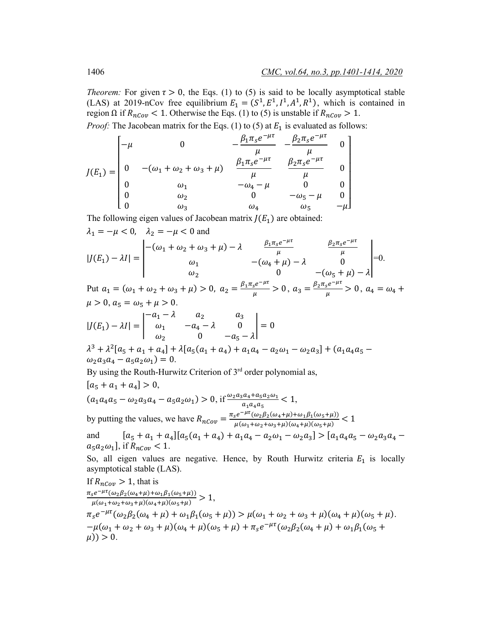*Theorem:* For given  $\tau > 0$ , the Eqs. (1) to (5) is said to be locally asymptotical stable (LAS) at 2019-nCov free equilibrium  $E_1 = (S^1, E^1, I^1, A^1, R^1)$ , which is contained in region  $\Omega$  if  $R_{nCov}$  < 1. Otherwise the Eqs. (1) to (5) is unstable if  $R_{nCov}$  > 1.

*Proof:* The Jacobean matrix for the Eqs. (1) to (5) at  $E_1$  is evaluated as follows:

$$
J(E_1) = \begin{bmatrix} -\mu & 0 & -\frac{\beta_1 \pi_s e^{-\mu \tau}}{\mu} & -\frac{\beta_2 \pi_s e^{-\mu \tau}}{\mu} & 0\\ 0 & -(\omega_1 + \omega_2 + \omega_3 + \mu) & \frac{\beta_1 \pi_s e^{-\mu \tau}}{\mu} & \frac{\beta_2 \pi_s e^{-\mu \tau}}{\mu} & 0\\ 0 & \omega_1 & -\omega_4 - \mu & 0 & 0\\ 0 & \omega_2 & 0 & -\omega_5 - \mu & 0\\ 0 & \omega_3 & \omega_4 & \omega_5 & -\mu \end{bmatrix}
$$

The following eigen values of Jacobean matrix  $J(E_1)$  are obtained:

$$
\lambda_1 = -\mu < 0, \quad \lambda_2 = -\mu < 0 \text{ and}
$$
\n
$$
|J(E_1) - \lambda I| = \begin{vmatrix}\n-(\omega_1 + \omega_2 + \omega_3 + \mu) - \lambda & \frac{\beta_1 \pi_s e^{-\mu \tau}}{\mu} & \frac{\beta_2 \pi_s e^{-\mu \tau}}{\mu} \\
\omega_1 & -(\omega_4 + \mu) - \lambda & 0 \\
\omega_2 & 0 & -(\omega_5 + \mu) - \lambda\n\end{vmatrix} = 0.
$$
\nPut  $a_1 = (\omega_1 + \omega_2 + \omega_3 + \mu) > 0$ ,  $a_2 = \frac{\beta_1 \pi_s e^{-\mu \tau}}{\mu} > 0$ ,  $a_3 = \frac{\beta_2 \pi_s e^{-\mu \tau}}{\mu} > 0$ ,  $a_4 = \omega_4 + \mu > 0$ ,  $a_5 = \omega_5 + \mu > 0$ .  
\n
$$
|J(E_1) - \lambda I| = \begin{vmatrix}\n-a_1 - \lambda & a_2 & a_3 \\
\omega_1 & -a_4 - \lambda & 0 \\
\omega_2 & 0 & -a_5 - \lambda\n\end{vmatrix} = 0
$$
\n
$$
\lambda^3 + \lambda^2 [a_5 + a_1 + a_4] + \lambda [a_5(a_1 + a_4) + a_1 a_4 - a_2 \omega_1 - \omega_2 a_3] + (a_1 a_4 a_5 - \lambda^2 a_4 - a_4 a_5 - \lambda^2 a_4 - a_6 a_6 - \lambda^2 a_5 - \lambda^2 a_6 - \lambda^2 a_7 - \lambda^2 a_7 - \lambda^2 a_7 - \lambda^2 a_7 - \lambda^2 a_8 - \lambda^2 a_7 - \lambda^2 a_8 - \lambda^2 a_7 - \lambda^2 a_8 - \lambda^2 a_8 - \lambda^2 a_7 - \lambda^2 a_8 - \lambda^2 a_8 - \lambda^2 a_9 - \lambda^2 a_9 - \lambda^2 a_9 - \lambda^2 a_9 - \lambda^2 a_9 - \lambda^2 a_9 - \lambda^2 a_9 - \lambda^2 a_9 - \lambda^2 a_9 - \lambda^2 a_9 - \lambda^2 a_9 - \lambda^2 a_9 - \lambda
$$

$$
\omega_2 a_3 a_4 - a_5 a_2 \omega_1 = 0.
$$

By using the Routh-Hurwitz Criterion of 3<sup>rd</sup> order polynomial as,

$$
[a_5 + a_1 + a_4] > 0,
$$
  
\n
$$
(a_1 a_4 a_5 - \omega_2 a_3 a_4 - a_5 a_2 \omega_1) > 0, \text{ if } \frac{\omega_2 a_3 a_4 + a_5 a_2 \omega_1}{a_1 a_4 a_5} < 1,
$$
  
\nby putting the values, we have 
$$
R_{nCov} = \frac{\pi_s e^{-\mu \tau} (\omega_2 \beta_2 (\omega_4 + \mu) + \omega_1 \beta_1 (\omega_5 + \mu))}{\mu (\omega_1 + \omega_2 + \omega_3 + \mu)(\omega_4 + \mu)(\omega_5 + \mu)} < 1
$$

and  $[a_5 + a_1 + a_4][a_5(a_1 + a_4) + a_1a_4 - a_2a_1 - a_2a_3] > [a_1a_4a_5 - a_2a_3a_4$  $a_5a_2\omega_1$ , if  $R_{n\text{Cov}} < 1$ .

So, all eigen values are negative. Hence, by Routh Hurwitz criteria  $E_1$  is locally asymptotical stable (LAS).

If 
$$
R_{nCov} > 1
$$
, that is  
\n
$$
\frac{\pi_s e^{-\mu\tau}(\omega_2 \beta_2(\omega_4 + \mu) + \omega_1 \beta_1(\omega_5 + \mu))}{\mu(\omega_1 + \omega_2 + \omega_3 + \mu)(\omega_4 + \mu)(\omega_5 + \mu)} > 1,
$$
\n
$$
\pi_s e^{-\mu\tau}(\omega_2 \beta_2(\omega_4 + \mu) + \omega_1 \beta_1(\omega_5 + \mu)) > \mu(\omega_1 + \omega_2 + \omega_3 + \mu)(\omega_4 + \mu)(\omega_5 + \mu) - \mu(\omega_1 + \omega_2 + \omega_3 + \mu)(\omega_4 + \mu)(\omega_5 + \mu) + \pi_s e^{-\mu\tau}(\omega_2 \beta_2(\omega_4 + \mu) + \omega_1 \beta_1(\omega_5 + \mu)) > 0.
$$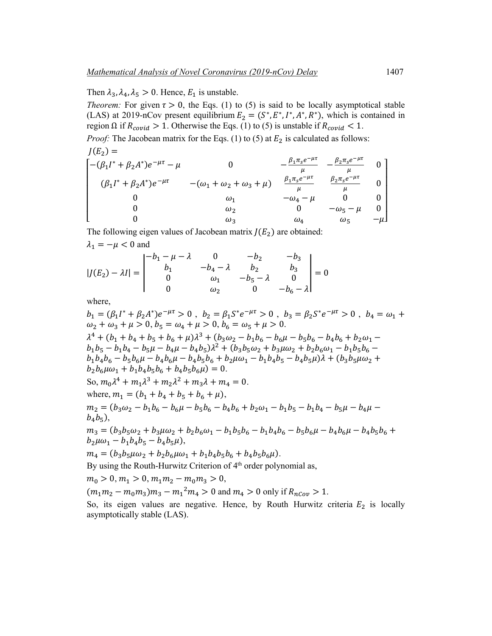Then  $\lambda_3$ ,  $\lambda_4$ ,  $\lambda_5 > 0$ . Hence,  $E_1$  is unstable.

*Theorem:* For given  $\tau > 0$ , the Eqs. (1) to (5) is said to be locally asymptotical stable (LAS) at 2019-nCov present equilibrium  $E_2 = (S^*, E^*, I^*, A^*, R^*)$ , which is contained in region  $\Omega$  if  $R_{covid} > 1$ . Otherwise the Eqs. (1) to (5) is unstable if  $R_{covid} < 1$ .

*Proof:* The Jacobean matrix for the Eqs. (1) to (5) at  $E_2$  is calculated as follows:  $I(E_2) =$ 

$$
\begin{bmatrix}\n-(\beta_1 I^* + \beta_2 A^*)e^{-\mu\tau} - \mu & 0 & -\frac{\beta_1 \pi_s e^{-\mu\tau}}{\mu} & -\frac{\beta_2 \pi_s e^{-\mu\tau}}{\mu} & 0 \\
(\beta_1 I^* + \beta_2 A^*)e^{-\mu\tau} & -(\omega_1 + \omega_2 + \omega_3 + \mu) & \frac{\beta_1 \pi_s e^{-\mu\tau}}{\mu} & \frac{\beta_2 \pi_s e^{-\mu\tau}}{\mu} & 0 \\
0 & \omega_1 & -\omega_4 - \mu & 0 & 0 \\
0 & \omega_2 & 0 & -\omega_5 - \mu & 0 \\
0 & \omega_3 & \omega_4 & \omega_5 & -\mu\n\end{bmatrix}
$$

The following eigen values of Jacobean matrix  $J(E_2)$  are obtained:

$$
\lambda_1 = -\mu < 0 \text{ and}
$$

$$
|J(E_2) - \lambda I| = \begin{vmatrix} -b_1 - \mu - \lambda & 0 & -b_2 & -b_3 \\ b_1 & -b_4 - \lambda & b_2 & b_3 \\ 0 & \omega_1 & -b_5 - \lambda & 0 \\ 0 & \omega_2 & 0 & -b_6 - \lambda \end{vmatrix} = 0
$$

where,

 $b_1 = (\beta_1 I^* + \beta_2 A^*)e^{-\mu\tau} > 0$ ,  $b_2 = \beta_1 S^* e^{-\mu\tau} > 0$ ,  $b_3 = \beta_2 S^* e^{-\mu\tau} > 0$ ,  $b_4 = \omega_1 + \omega_2$  $\omega_2 + \omega_3 + \mu > 0, b_5 = \omega_4 + \mu > 0, b_6 = \omega_5 + \mu > 0.$  $\lambda^4 + (b_1 + b_4 + b_5 + b_6 + \mu)\lambda^3 + (b_3\omega_2 - b_1b_6 - b_6\mu - b_5b_6 - b_4b_6 + b_2\omega_1$  $b_1b_5 - b_1b_4 - b_5\mu - b_4\mu - b_4b_5$ <br> $\lambda^2 + (b_3b_5\omega_2 + b_3\mu\omega_2 + b_2b_6\omega_1 - b_1b_5b_6$  $b_1b_4b_6 - b_5b_6\mu - b_4b_6\mu - b_4b_5b_6 + b_2\mu\omega_1 - b_1b_4b_5 - b_4b_5\mu\lambda + (b_3b_5\mu\omega_2 +$  $b_2 b_6 \mu \omega_1 + b_1 b_4 b_5 b_6 + b_4 b_5 b_6 \mu = 0.$ So,  $m_0\lambda^4 + m_1\lambda^3 + m_2\lambda^2 + m_3\lambda + m_4 = 0$ . where,  $m_1 = (b_1 + b_4 + b_5 + b_6 + \mu)$ ,  $m_2 = (b_3\omega_2 - b_1b_6 - b_6\mu - b_5b_6 - b_4b_6 + b_2\omega_1 - b_1b_5 - b_1b_4 - b_5\mu - b_4\mu$  $b_{4}b_{5}$ ),  $m_3 = (b_3b_5\omega_2 + b_3\mu\omega_2 + b_2b_6\omega_1 - b_1b_5b_6 - b_1b_4b_6 - b_5b_6\mu - b_4b_6\mu - b_4b_5b_6 +$  $b_2 \mu \omega_1 - b_1 b_4 b_5 - b_4 b_5 \mu$ ),  $m_4 = (b_3b_5\mu\omega_2 + b_2b_6\mu\omega_1 + b_1b_4b_5b_6 + b_4b_5b_6\mu).$ By using the Routh-Hurwitz Criterion of 4<sup>th</sup> order polynomial as,  $m_0 > 0, m_1 > 0, m_1 m_2 - m_0 m_3 > 0,$  $(m_1m_2 - m_0m_3)m_3 - m_1^2m_4 > 0$  and  $m_4 > 0$  only if  $R_{nCov} > 1$ .

So, its eigen values are negative. Hence, by Routh Hurwitz criteria  $E<sub>2</sub>$  is locally asymptotically stable (LAS).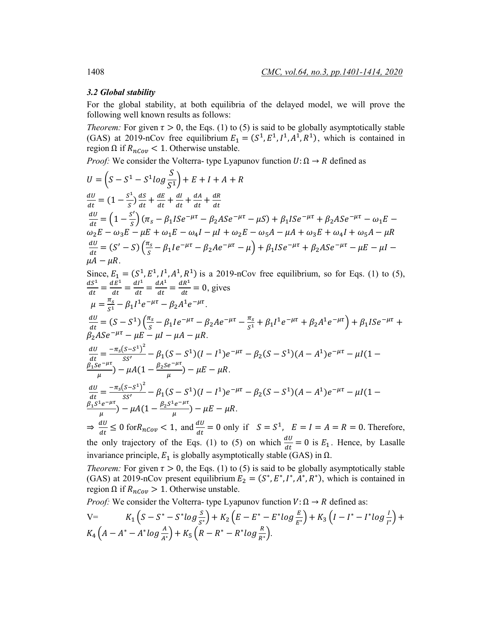#### *3.2 Global stability*

For the global stability, at both equilibria of the delayed model, we will prove the following well known results as follows:

*Theorem:* For given  $\tau > 0$ , the Eqs. (1) to (5) is said to be globally asymptotically stable (GAS) at 2019-nCov free equilibrium  $E_1 = (S^1, E^1, I^1, A^1, R^1)$ , which is contained in region Ω if  $R_{nCov}$  < 1. Otherwise unstable.

*Proof:* We consider the Volterra- type Lyapunov function  $U: \Omega \rightarrow R$  defined as

$$
U = (S - S^1 - S^1 \log \frac{S}{S^1}) + E + I + A + R
$$
  
\n
$$
\frac{dU}{dt} = (1 - \frac{S^1}{S}) \frac{ds}{dt} + \frac{dE}{dt} + \frac{dI}{dt} + \frac{dA}{dt} + \frac{dR}{dt}
$$
  
\n
$$
\frac{dU}{dt} = (1 - \frac{S'}{S}) (n_S - \beta_1 I S e^{-\mu \tau} - \beta_2 A S e^{-\mu \tau} - \mu S) + \beta_1 I S e^{-\mu \tau} + \beta_2 A S e^{-\mu \tau} - \omega_1 E - \omega_2 E - \omega_3 E - \mu E + \omega_1 E - \omega_4 I - \mu I + \omega_2 E - \omega_5 A - \mu A + \omega_3 E + \omega_4 I + \omega_5 A - \mu R
$$
  
\n
$$
\frac{dU}{dt} = (S' - S) (\frac{\pi_S}{S} - \beta_1 I e^{-\mu \tau} - \beta_2 A e^{-\mu \tau} - \mu) + \beta_1 I S e^{-\mu \tau} + \beta_2 A S e^{-\mu \tau} - \mu E - \mu I - \mu A - \mu R
$$
  
\n
$$
\frac{dS^1}{dt} = \frac{dS^1}{dt} = \frac{dI^1}{dt} = \frac{dA^1}{dt} = \frac{dR^1}{dt} = 0, \text{ gives}
$$
  
\n
$$
\mu = \frac{\pi_S}{\tau} - \beta_1 I^1 e^{-\mu \tau} - \beta_2 A^1 e^{-\mu \tau}.
$$
  
\n
$$
\frac{dU}{dt} = (S - S^1) (\frac{\pi_S}{S} - \beta_1 I e^{-\mu \tau} - \beta_2 A e^{-\mu \tau} - \frac{\pi_S}{S^1} + \beta_1 I^1 e^{-\mu \tau} + \beta_2 A^1 e^{-\mu \tau}) + \beta_1 I S e^{-\mu \tau} + \beta_2 A S e^{-\mu \tau} - \mu E - \mu I - \mu A - \mu R.
$$
  
\n
$$
\frac{dU}{dt} = (S - S^1) (\frac{\pi_S}{S} - \beta_1 I e^{-\mu \tau} - \beta_2 A e^{-\mu \tau} - \frac{\pi_S}{S^1} + \beta_1 I^1 e^{-\mu \tau} + \beta_2 A^1 e^{-\mu \tau}) +
$$

*Theorem:* For given  $\tau > 0$ , the Eqs. (1) to (5) is said to be globally asymptotically stable (GAS) at 2019-nCov present equilibrium  $E_2 = (S^*, E^*, I^*, A^*, R^*)$ , which is contained in region Ω if  $R_{nCov} > 1$ . Otherwise unstable.

*Proof:* We consider the Volterra- type Lyapunov function  $V: \Omega \rightarrow R$  defined as:

V=
$$
K_1(S - S^* - S^*log \frac{S}{S^*}) + K_2(E - E^* - E^*log \frac{E}{E^*}) + K_3(I - I^* - I^*log \frac{I}{I^*}) + K_4(A - A^* - A^*log \frac{A}{A^*}) + K_5(R - R^* - R^*log \frac{R}{R^*}).
$$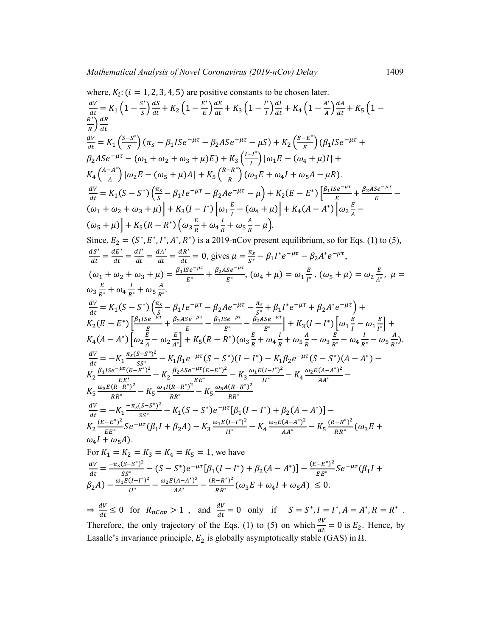where, 
$$
K_i
$$
: (i = 1, 2, 3, 4, 5) are positive constants to be chosen later.  
\n
$$
\frac{dV}{dt} = K_1 (1 - \frac{s^2}{s}) \frac{ds}{dt} + K_2 (1 - \frac{E^2}{B}) \frac{dE}{dt} + K_3 (1 - \frac{I^2}{I}) \frac{dI}{dt} + K_4 (1 - \frac{A^2}{A}) \frac{dA}{dt} + K_5 (1 - \frac{R^2}{B}) \frac{dR}{dt}
$$
\n
$$
\frac{dV}{dt} = K_1 (\frac{s-s^2}{s}) (\pi_s - \beta_1 I S e^{-\mu\tau} - \beta_2 A S e^{-\mu\tau} - \mu S) + K_2 (\frac{e-E^2}{E}) (\beta_1 I S e^{-\mu\tau} + \beta_2 A S e^{-\mu\tau} - (\omega_1 + \omega_2 + \omega_3 + \mu) E) + K_3 (\frac{I - I^2}{I}) [\omega_1 E - (\omega_4 + \mu) I] + K_4 (\frac{A - A}{A}) [\omega_2 E - (\omega_5 + \mu) A] + K_5 (\frac{R - R}{R}) (\omega_3 E + \omega_4 I + \omega_5 A - \mu R).
$$
\n
$$
\frac{dV}{dt} = K_1 (S - S^*) (\frac{\pi_s}{s} - \beta_1 I e^{-\mu\tau} - \beta_2 A e^{-\mu\tau} - \mu) + K_2 (E - E^*) [\frac{\beta_1 I S e^{-\mu\tau}}{E} + \frac{\beta_2 A S e^{-\mu\tau}}{E} - (\omega_1 + \omega_2 + \omega_3 + \mu)] + K_3 (I - I^*) [\omega_1 \frac{E}{I} - (\omega_4 + \mu)] + K_4 (A - A^*) [\omega_2 \frac{E}{A} - (\omega_5 + \mu)] + K_5 (R - R^*) (\omega_3 \frac{E}{R} + \omega_4 \frac{I}{R} + \omega_5 \frac{A}{R} - \mu).
$$
\nSince,  $E_2 = (S^*, E^*, I^*, A^*, R^*)$  is a 2019-nCov present equilibrium, so for Eqs. (1) to (5),  
\n
$$
\frac{dS^*}{dt} = \frac{dS^*}{dt} = \frac{dA^*}{dt} = \frac{dA^*}{dt} = 0
$$
, gives  $\mu = \frac{\pi_s}{s^*} - \beta_1 I$ 

 $\beta_2 A) - \frac{\omega_1 E (I - I^*)^2}{I I^*} - \frac{\omega_2 E (A - A^*)^2}{A A^*} - \frac{(R - R^*)^2}{R R^*} (\omega_3 E + \omega_4 I + \omega_5 A) \leq 0.$  $\Rightarrow \frac{dV}{dt} \leq 0$  for  $R_{nCov} > 1$ , and  $\frac{dV}{dt} = 0$  only if  $S = S^*$ ,  $I = I^*$ ,  $A = A^*$ ,  $R = R^*$ . Therefore, the only trajectory of the Eqs. (1) to (5) on which  $\frac{dv}{dt} = 0$  is  $E_2$ . Hence, by Lasalle's invariance principle,  $E_2$  is globally asymptotically stable (GAS) in  $\Omega$ .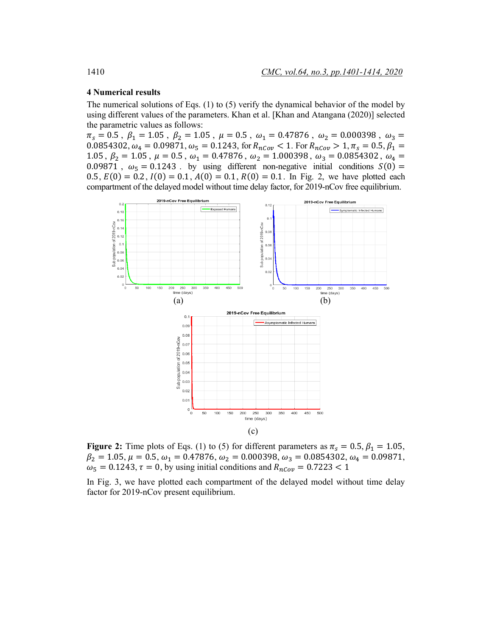## **4 Numerical results**

The numerical solutions of Eqs. (1) to (5) verify the dynamical behavior of the model by using different values of the parameters. Khan et al. [Khan and Atangana (2020)] selected the parametric values as follows:

 $\pi_s = 0.5$ ,  $\beta_1 = 1.05$ ,  $\beta_2 = 1.05$ ,  $\mu = 0.5$ ,  $\omega_1 = 0.47876$ ,  $\omega_2 = 0.000398$ ,  $\omega_3 =$ 0.0854302,  $\omega_4 = 0.09871$ ,  $\omega_5 = 0.1243$ , for  $R_{nCov} < 1$ . For  $R_{nCov} > 1$ ,  $\pi_s = 0.5$ ,  $\beta_1 =$ 1.05,  $\beta_2 = 1.05$ ,  $\mu = 0.5$ ,  $\omega_1 = 0.47876$ ,  $\omega_2 = 1.000398$ ,  $\omega_3 = 0.0854302$ ,  $\omega_4 =$ 0.09871,  $\omega_5 = 0.1243$ . by using different non-negative initial conditions  $S(0) =$ 0.5,  $E(0) = 0.2$ ,  $I(0) = 0.1$ ,  $A(0) = 0.1$ ,  $R(0) = 0.1$ . In Fig. 2, we have plotted each compartment of the delayed model without time delay factor, for 2019-nCov free equilibrium.



**Figure 2:** Time plots of Eqs. (1) to (5) for different parameters as  $\pi_s = 0.5$ ,  $\beta_1 = 1.05$ ,  $\beta_2 = 1.05, \mu = 0.5, \omega_1 = 0.47876, \omega_2 = 0.000398, \omega_3 = 0.0854302, \omega_4 = 0.09871,$  $\omega_5 = 0.1243$ ,  $\tau = 0$ , by using initial conditions and  $R_{nCov} = 0.7223 < 1$ 

In Fig. 3, we have plotted each compartment of the delayed model without time delay factor for 2019-nCov present equilibrium.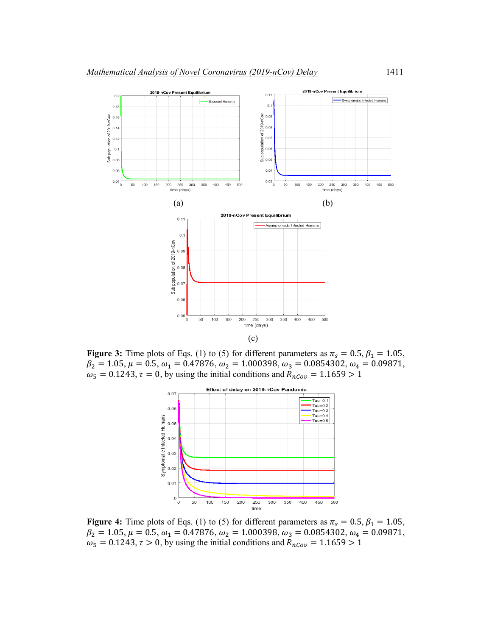

**Figure 3:** Time plots of Eqs. (1) to (5) for different parameters as  $\pi_s = 0.5$ ,  $\beta_1 = 1.05$ ,  $\beta_2 = 1.05, \mu = 0.5, \omega_1 = 0.47876, \omega_2 = 1.000398, \omega_3 = 0.0854302, \omega_4 = 0.09871,$  $\omega_5 = 0.1243$ ,  $\tau = 0$ , by using the initial conditions and  $R_{nCov} = 1.1659 > 1$ 



**Figure 4:** Time plots of Eqs. (1) to (5) for different parameters as  $\pi_s = 0.5$ ,  $\beta_1 = 1.05$ ,  $\beta_2 = 1.05, \mu = 0.5, \omega_1 = 0.47876, \omega_2 = 1.000398, \omega_3 = 0.0854302, \omega_4 = 0.09871,$  $\omega_5 = 0.1243$ ,  $\tau > 0$ , by using the initial conditions and  $R_{nCov} = 1.1659 > 1$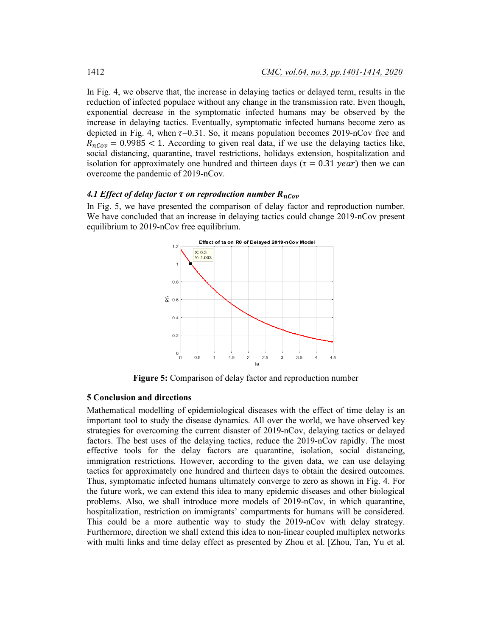In Fig. 4, we observe that, the increase in delaying tactics or delayed term, results in the reduction of infected populace without any change in the transmission rate. Even though, exponential decrease in the symptomatic infected humans may be observed by the increase in delaying tactics. Eventually, symptomatic infected humans become zero as depicted in Fig. 4, when  $\tau$ =0.31. So, it means population becomes 2019-nCov free and  $R_{nCov} = 0.9985 < 1$ . According to given real data, if we use the delaying tactics like, social distancing, quarantine, travel restrictions, holidays extension, hospitalization and isolation for approximately one hundred and thirteen days ( $\tau = 0.31$  year) then we can overcome the pandemic of 2019-nCov.

# *4.1 Effect of delay factor*  $\tau$  *on reproduction number*  $R_{nCov}$

In Fig. 5, we have presented the comparison of delay factor and reproduction number. We have concluded that an increase in delaying tactics could change 2019-nCov present equilibrium to 2019-nCov free equilibrium.



**Figure 5:** Comparison of delay factor and reproduction number

# **5 Conclusion and directions**

Mathematical modelling of epidemiological diseases with the effect of time delay is an important tool to study the disease dynamics. All over the world, we have observed key strategies for overcoming the current disaster of 2019-nCov, delaying tactics or delayed factors. The best uses of the delaying tactics, reduce the 2019-nCov rapidly. The most effective tools for the delay factors are quarantine, isolation, social distancing, immigration restrictions. However, according to the given data, we can use delaying tactics for approximately one hundred and thirteen days to obtain the desired outcomes. Thus, symptomatic infected humans ultimately converge to zero as shown in Fig. 4. For the future work, we can extend this idea to many epidemic diseases and other biological problems. Also, we shall introduce more models of 2019-nCov, in which quarantine, hospitalization, restriction on immigrants' compartments for humans will be considered. This could be a more authentic way to study the 2019-nCov with delay strategy. Furthermore, direction we shall extend this idea to non-linear coupled multiplex networks with multi links and time delay effect as presented by Zhou et al. [Zhou, Tan, Yu et al.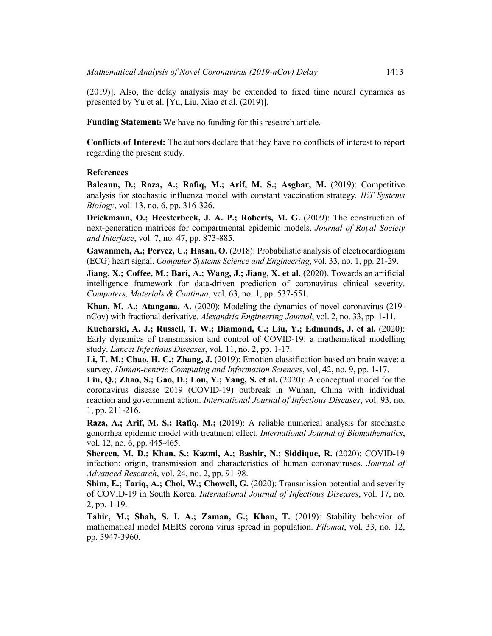(2019)]. Also, the delay analysis may be extended to fixed time neural dynamics as presented by Yu et al. [Yu, Liu, Xiao et al. (2019)].

**Funding Statement:** We have no funding for this research article.

**Conflicts of Interest:** The authors declare that they have no conflicts of interest to report regarding the present study.

#### **References**

**Baleanu, D.; Raza, A.; Rafiq, M.; Arif, M. S.; Asghar, M.** (2019): Competitive analysis for stochastic influenza model with constant vaccination strategy*. IET Systems Biology*, vol. 13, no. 6, pp. 316-326.

**Driekmann, O.; Heesterbeek, J. A. P.; Roberts, M. G.** (2009): The construction of next-generation matrices for compartmental epidemic models. *Journal of Royal Society and Interface*, vol. 7, no. 47, pp. 873-885.

**Gawanmeh, A.; Pervez, U.; Hasan, O.** (2018): Probabilistic analysis of electrocardiogram (ECG) heart signal. *Computer Systems Science and Engineering*, vol. 33, no. 1, pp. 21-29.

Jiang, X.; Coffee, M.; Bari, A.; Wang, J.; Jiang, X. et al. (2020). Towards an artificial intelligence framework for data-driven prediction of coronavirus clinical severity. *Computers, Materials & Continua*, vol. 63, no. 1, pp. 537-551.

**Khan, M. A.; Atangana, A.** (2020): Modeling the dynamics of novel coronavirus (219 nCov) with fractional derivative. *Alexandria Engineering Journal*, vol. 2, no. 33, pp. 1-11.

**Kucharski, A. J.; Russell, T. W.; Diamond, C.; Liu, Y.; Edmunds, J. et al.** (2020): Early dynamics of transmission and control of COVID-19: a mathematical modelling study. *Lancet Infectious Diseases*, vol. 11, no. 2, pp. 1-17.

**Li, T. M.; Chao, H. C.; Zhang, J.** (2019): Emotion classification based on brain wave: a survey. *Human-centric Computing and Information Sciences*, vol, 42, no. 9, pp. 1-17.

**Lin, Q.; Zhao, S.; Gao, D.; Lou, Y.; Yang, S. et al.** (2020): A conceptual model for the coronavirus disease 2019 (COVID-19) outbreak in Wuhan, China with individual reaction and government action. *International Journal of Infectious Diseases*, vol. 93, no. 1, pp. 211-216.

**Raza, A.; Arif, M. S.; Rafiq, M.;** (2019): A reliable numerical analysis for stochastic gonorrhea epidemic model with treatment effect. *International Journal of Biomathematics*, vol. 12, no. 6, pp. 445-465.

**Shereen, M. D.; Khan, S.; Kazmi, A.; Bashir, N.; Siddique, R.** (2020): COVID-19 infection: origin, transmission and characteristics of human coronaviruses. *Journal of Advanced Research*, vol. 24, no. 2, pp. 91-98.

**Shim, E.; Tariq, A.; Choi, W.; Chowell, G.** (2020): Transmission potential and severity of COVID-19 in South Korea. *International Journal of Infectious Diseases*, vol. 17, no. 2, pp. 1-19.

**Tahir, M.; Shah, S. I. A.; Zaman, G.; Khan, T.** (2019): Stability behavior of mathematical model MERS corona virus spread in population. *Filomat*, vol. 33, no. 12, pp. 3947-3960.